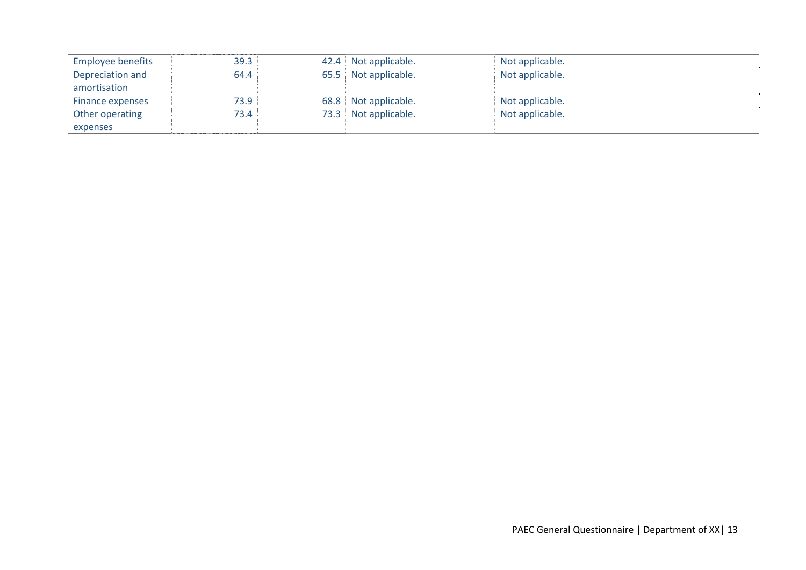| <b>Employee benefits</b> | 39.3 |      | 42.4 Not applicable. | Not applicable. |
|--------------------------|------|------|----------------------|-----------------|
| Depreciation and         | 64.4 |      | 65.5 Not applicable. | Not applicable. |
| amortisation             |      |      |                      |                 |
| Finance expenses         | 73.9 | 68.8 | Not applicable.      | Not applicable. |
| Other operating          | 73.4 | 73.3 | Not applicable.      | Not applicable. |
| expenses                 |      |      |                      |                 |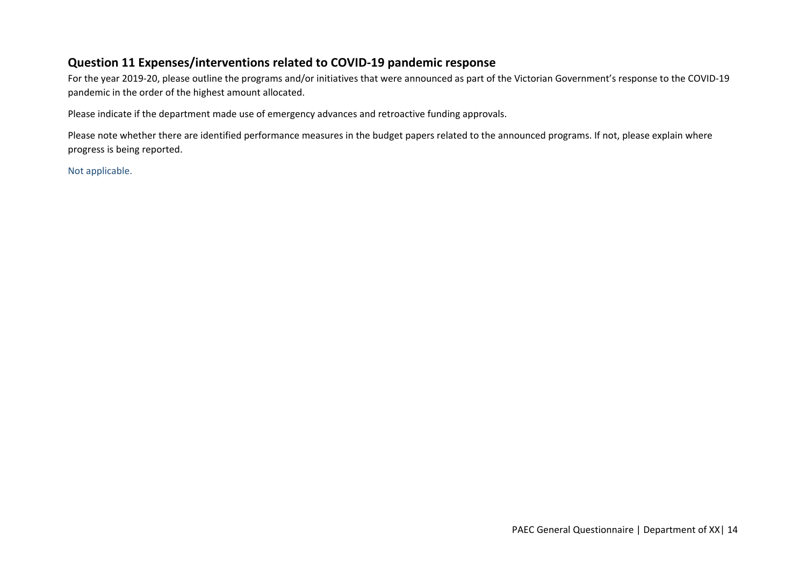## **Question 11 Expenses/interventions related to COVID‐19 pandemic response**

For the year 2019‐20, please outline the programs and/or initiatives that were announced as part of the Victorian Government's response to the COVID‐19 pandemic in the order of the highest amount allocated.

Please indicate if the department made use of emergency advances and retroactive funding approvals.

Please note whether there are identified performance measures in the budget papers related to the announced programs. If not, please explain where progress is being reported.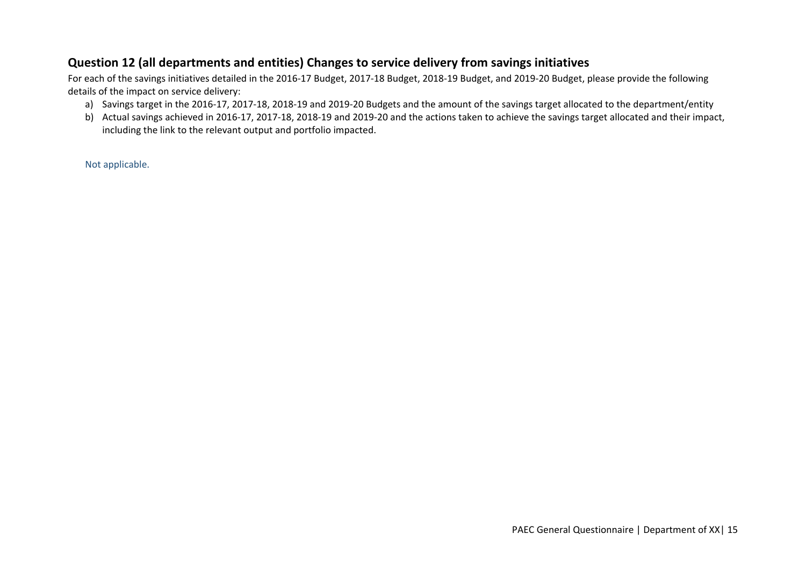## **Question 12 (all departments and entities) Changes to service delivery from savings initiatives**

For each of the savings initiatives detailed in the 2016‐17 Budget, 2017‐18 Budget, 2018‐19 Budget, and 2019‐20 Budget, please provide the following details of the impact on service delivery:

- a) Savings target in the 2016‐17, 2017‐18, 2018‐19 and 2019‐20 Budgets and the amount of the savings target allocated to the department/entity
- b) Actual savings achieved in 2016‐17, 2017‐18, 2018‐19 and 2019‐20 and the actions taken to achieve the savings target allocated and their impact, including the link to the relevant output and portfolio impacted.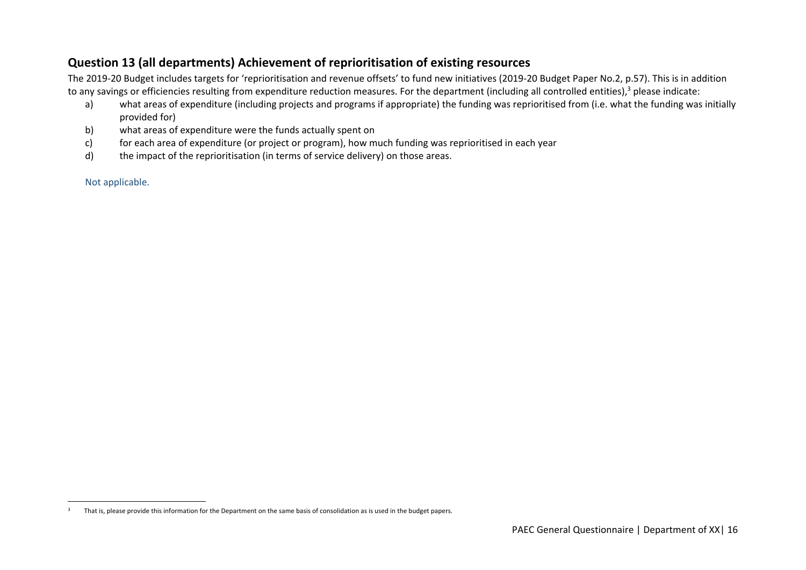## **Question 13 (all departments) Achievement of reprioritisation of existing resources**

The 2019‐20 Budget includes targets for 'reprioritisation and revenue offsets' to fund new initiatives (2019‐20 Budget Paper No.2, p.57). This is in addition to any savings or efficiencies resulting from expenditure reduction measures. For the department (including all controlled entities),<sup>3</sup> please indicate:

- a) what areas of expenditure (including projects and programs if appropriate) the funding was reprioritised from (i.e. what the funding was initially provided for)
- b) what areas of expenditure were the funds actually spent on
- c) for each area of expenditure (or project or program), how much funding was reprioritised in each year
- d) the impact of the reprioritisation (in terms of service delivery) on those areas.

<sup>&</sup>lt;sup>3</sup> That is, please provide this information for the Department on the same basis of consolidation as is used in the budget papers.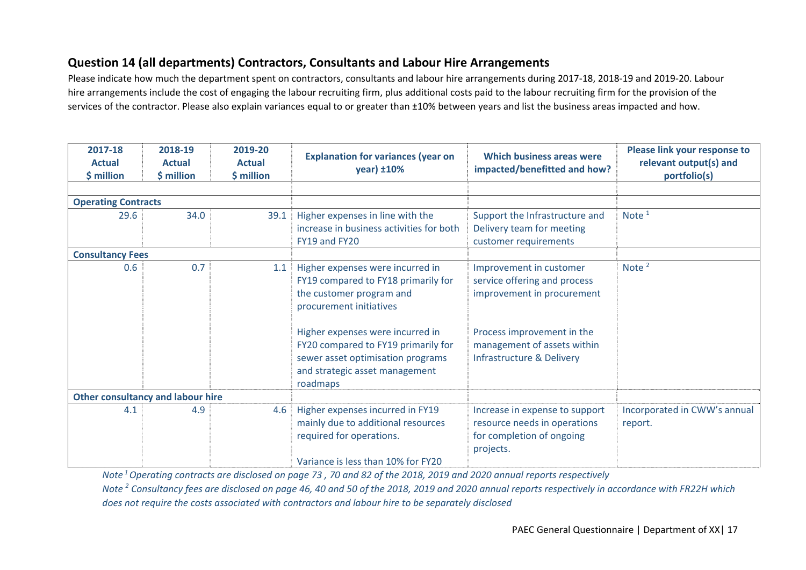## **Question 14 (all departments) Contractors, Consultants and Labour Hire Arrangements**

Please indicate how much the department spent on contractors, consultants and labour hire arrangements during 2017‐18, 2018‐19 and 2019‐20. Labour hire arrangements include the cost of engaging the labour recruiting firm, plus additional costs paid to the labour recruiting firm for the provision of the services of the contractor. Please also explain variances equal to or greater than ±10% between years and list the business areas impacted and how.

| 2017-18<br><b>Actual</b><br>\$ million | 2018-19<br><b>Actual</b><br>\$ million                                                                                                                                                                                                                                                         | 2019-20<br><b>Actual</b><br>\$ million | <b>Explanation for variances (year on</b><br>year) ±10%                                                                                  | Which business areas were<br>impacted/benefitted and how?                                                                                                                       | Please link your response to<br>relevant output(s) and<br>portfolio(s) |
|----------------------------------------|------------------------------------------------------------------------------------------------------------------------------------------------------------------------------------------------------------------------------------------------------------------------------------------------|----------------------------------------|------------------------------------------------------------------------------------------------------------------------------------------|---------------------------------------------------------------------------------------------------------------------------------------------------------------------------------|------------------------------------------------------------------------|
|                                        |                                                                                                                                                                                                                                                                                                |                                        |                                                                                                                                          |                                                                                                                                                                                 |                                                                        |
| <b>Operating Contracts</b>             |                                                                                                                                                                                                                                                                                                |                                        |                                                                                                                                          |                                                                                                                                                                                 |                                                                        |
| 29.6<br>34.0                           |                                                                                                                                                                                                                                                                                                | 39.1                                   | Higher expenses in line with the<br>increase in business activities for both<br>FY19 and FY20                                            | Support the Infrastructure and<br>Delivery team for meeting<br>customer requirements                                                                                            | Note $1$                                                               |
| <b>Consultancy Fees</b>                |                                                                                                                                                                                                                                                                                                |                                        |                                                                                                                                          |                                                                                                                                                                                 |                                                                        |
| 0.6                                    | 0.7<br>1.1<br>Higher expenses were incurred in<br>FY19 compared to FY18 primarily for<br>the customer program and<br>procurement initiatives<br>Higher expenses were incurred in<br>FY20 compared to FY19 primarily for<br>sewer asset optimisation programs<br>and strategic asset management |                                        | roadmaps                                                                                                                                 | Improvement in customer<br>service offering and process<br>improvement in procurement<br>Process improvement in the<br>management of assets within<br>Infrastructure & Delivery | Note $2$                                                               |
| Other consultancy and labour hire      |                                                                                                                                                                                                                                                                                                |                                        |                                                                                                                                          |                                                                                                                                                                                 |                                                                        |
| 4.1                                    | 4.9                                                                                                                                                                                                                                                                                            | 4.6                                    | Higher expenses incurred in FY19<br>mainly due to additional resources<br>required for operations.<br>Variance is less than 10% for FY20 | Increase in expense to support<br>resource needs in operations<br>for completion of ongoing<br>projects.                                                                        | Incorporated in CWW's annual<br>report.                                |

*Note 1 Operating contracts are disclosed on page 73 , 70 and 82 of the 2018, 2019 and 2020 annual reports respectively Note 2 Consultancy fees are disclosed on page 46, 40 and 50 of the 2018, 2019 and 2020 annual reports respectively in accordance with FR22H which does not require the costs associated with contractors and labour hire to be separately disclosed*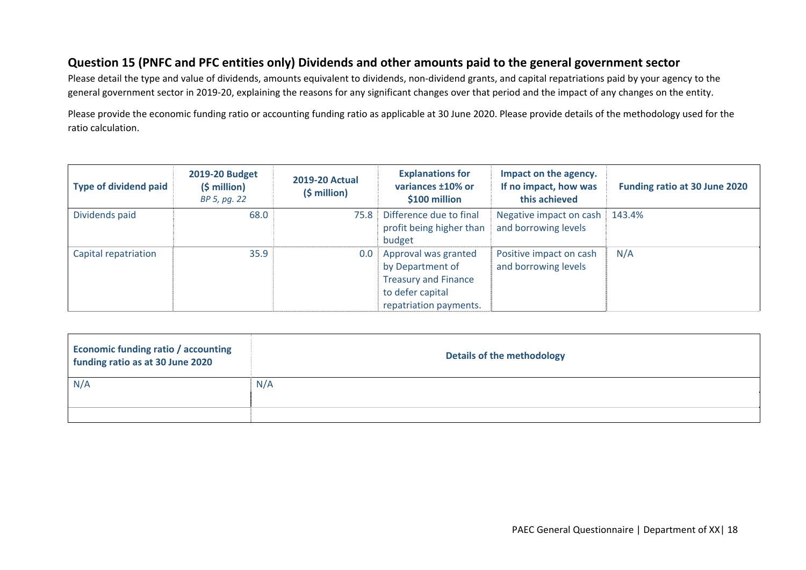#### City West Water

### **Question 15 (PNFC and PFC entities only) Dividends and other amounts paid to the general government sector**

Please detail the type and value of dividends, amounts equivalent to dividends, non-dividend grants, and capital repatriations paid by your agency to the general government sector in 2019-20, explaining the reasons for any significant changes over that period and the impact of any changes on the entity.

Please provide the economic funding ratio or accounting funding ratio as applicable at 30 June 2020. Please provide details of the methodology used for the ratio calculation.

| <b>Type of dividend paid</b> | <b>2019-20 Budget</b><br>$(5 million)$<br>BP 5, pg. 22 | <b>2019-20 Actual</b><br>$(5 million)$ | <b>Explanations for</b><br>variances ±10% or<br>\$100 million                                                         | Impact on the agency.<br>If no impact, how was<br>this achieved | <b>Funding ratio at 30 June 2020</b> |
|------------------------------|--------------------------------------------------------|----------------------------------------|-----------------------------------------------------------------------------------------------------------------------|-----------------------------------------------------------------|--------------------------------------|
| Dividends paid               | 68.0                                                   | 75.8                                   | Difference due to final<br>profit being higher than<br>budget                                                         | Negative impact on cash<br>and borrowing levels                 | 143.4%                               |
| Capital repatriation         | 35.9                                                   | 0.0                                    | Approval was granted<br>by Department of<br><b>Treasury and Finance</b><br>to defer capital<br>repatriation payments. | Positive impact on cash<br>and borrowing levels                 | N/A                                  |

| <b>Economic funding ratio / accounting</b><br>funding ratio as at 30 June 2020 | <b>Details of the methodology</b> |
|--------------------------------------------------------------------------------|-----------------------------------|
| N/A                                                                            | N/A                               |
|                                                                                |                                   |
|                                                                                |                                   |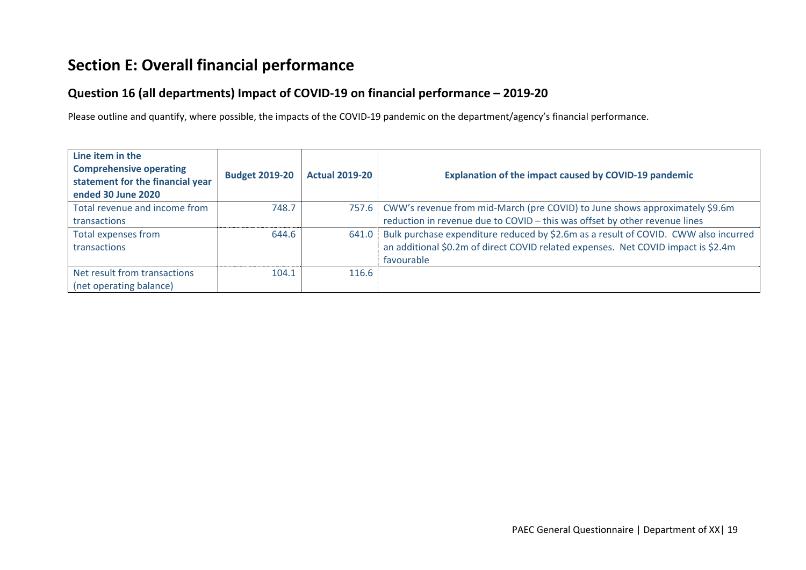# **Section E: Overall financial performance**

## **Question 16 (all departments) Impact of COVID‐19 on financial performance – 2019‐20**

Please outline and quantify, where possible, the impacts of the COVID‐19 pandemic on the department/agency's financial performance.

| Line item in the<br><b>Comprehensive operating</b><br>statement for the financial year<br>ended 30 June 2020 | <b>Budget 2019-20</b> | <b>Actual 2019-20</b> | <b>Explanation of the impact caused by COVID-19 pandemic</b>                        |
|--------------------------------------------------------------------------------------------------------------|-----------------------|-----------------------|-------------------------------------------------------------------------------------|
| Total revenue and income from                                                                                | 748.7                 |                       | 757.6   CWW's revenue from mid-March (pre COVID) to June shows approximately \$9.6m |
| transactions                                                                                                 |                       |                       | reduction in revenue due to COVID - this was offset by other revenue lines          |
| Total expenses from                                                                                          | 644.6                 | 641.0                 | Bulk purchase expenditure reduced by \$2.6m as a result of COVID. CWW also incurred |
| transactions                                                                                                 |                       |                       | an additional \$0.2m of direct COVID related expenses. Net COVID impact is \$2.4m   |
|                                                                                                              |                       |                       | favourable                                                                          |
| Net result from transactions                                                                                 | 104.1                 | 116.6                 |                                                                                     |
| (net operating balance)                                                                                      |                       |                       |                                                                                     |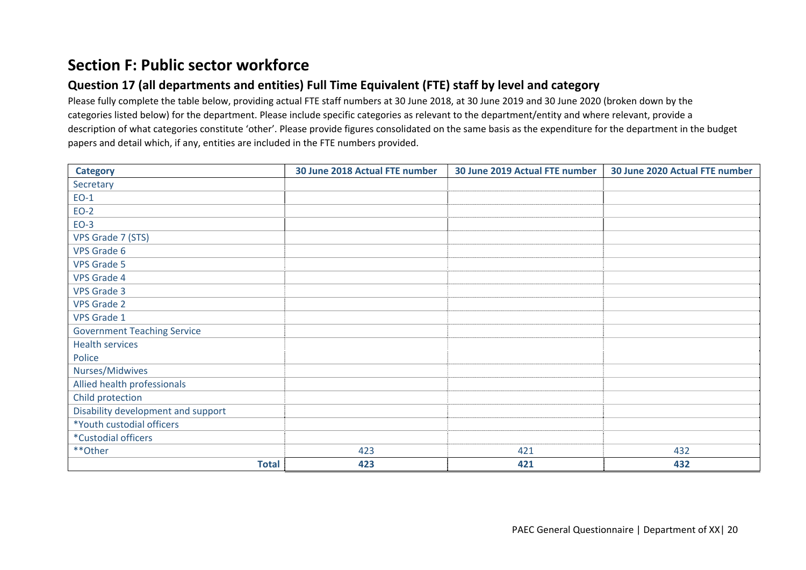## **Section F: Public sector workforce**

## **Question 17 (all departments and entities) Full Time Equivalent (FTE) staff by level and category**

Please fully complete the table below, providing actual FTE staff numbers at 30 June 2018, at 30 June 2019 and 30 June 2020 (broken down by the categories listed below) for the department. Please include specific categories as relevant to the department/entity and where relevant, provide a description of what categories constitute 'other'. Please provide figures consolidated on the same basis as the expenditure for the department in the budget papers and detail which, if any, entities are included in the FTE numbers provided.

| <b>Category</b>                    | 30 June 2018 Actual FTE number | 30 June 2019 Actual FTE number | 30 June 2020 Actual FTE number |
|------------------------------------|--------------------------------|--------------------------------|--------------------------------|
| Secretary                          |                                |                                |                                |
| $EO-1$                             |                                |                                |                                |
| $EO-2$                             |                                |                                |                                |
| $EO-3$                             |                                |                                |                                |
| VPS Grade 7 (STS)                  |                                |                                |                                |
| <b>VPS Grade 6</b>                 |                                |                                |                                |
| <b>VPS Grade 5</b>                 |                                |                                |                                |
| <b>VPS Grade 4</b>                 |                                |                                |                                |
| <b>VPS Grade 3</b>                 |                                |                                |                                |
| <b>VPS Grade 2</b>                 |                                |                                |                                |
| VPS Grade 1                        |                                |                                |                                |
| <b>Government Teaching Service</b> |                                |                                |                                |
| <b>Health services</b>             |                                |                                |                                |
| Police                             |                                |                                |                                |
| Nurses/Midwives                    |                                |                                |                                |
| Allied health professionals        |                                |                                |                                |
| Child protection                   |                                |                                |                                |
| Disability development and support |                                |                                |                                |
| *Youth custodial officers          |                                |                                |                                |
| *Custodial officers                |                                |                                |                                |
| **Other                            | 423                            | 421                            | 432                            |
| <b>Total</b>                       | 423                            | 421                            | 432                            |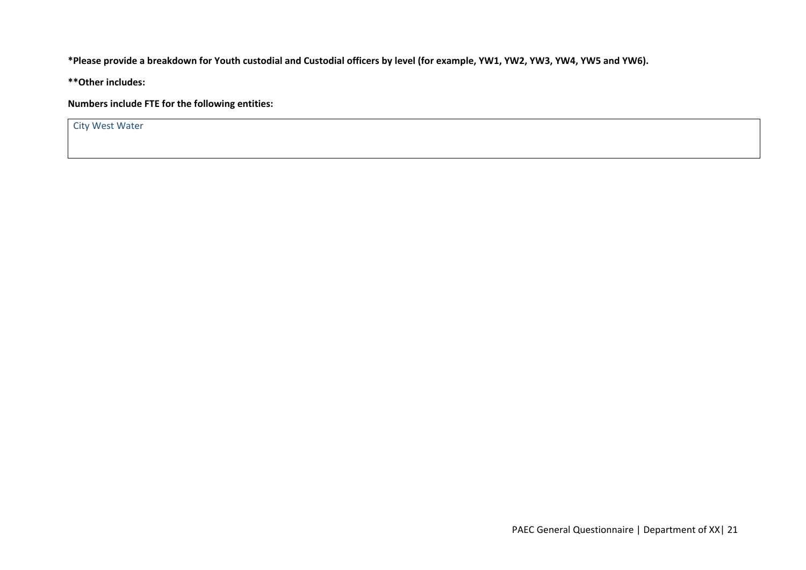#### City West Water

**\*Please provide a breakdown for Youth custodial and Custodial officers by level (for example, YW1, YW2, YW3, YW4, YW5 and YW6).** 

**\*\*Other includes:** 

**Numbers include FTE for the following entities:** 

City West Water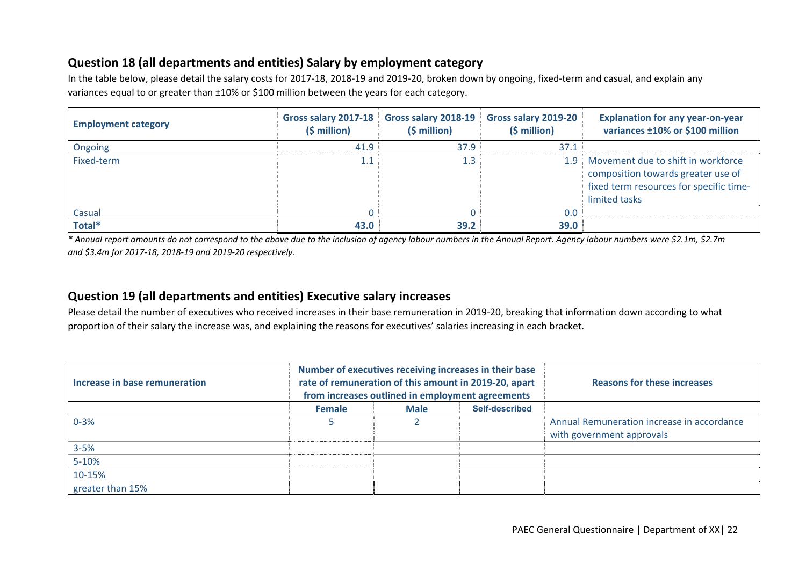## **Question 18 (all departments and entities) Salary by employment category**

In the table below, please detail the salary costs for 2017‐18, 2018‐19 and 2019‐20, broken down by ongoing, fixed‐term and casual, and explain any variances equal to or greater than ±10% or \$100 million between the years for each category.

| <b>Employment category</b> | Gross salary 2017-18<br>$(5 million)$ | Gross salary 2018-19<br>(\$ million) | Gross salary 2019-20<br>$(5 million)$ | <b>Explanation for any year-on-year</b><br>variances ±10% or \$100 million                                                           |
|----------------------------|---------------------------------------|--------------------------------------|---------------------------------------|--------------------------------------------------------------------------------------------------------------------------------------|
| Ongoing                    | 41.9                                  | 37.9                                 | 37.1                                  |                                                                                                                                      |
| Fixed-term                 | 1.1                                   | 1.3                                  | 1.9                                   | Movement due to shift in workforce<br>composition towards greater use of<br>fixed term resources for specific time-<br>limited tasks |
| Casual                     |                                       |                                      | 0.0                                   |                                                                                                                                      |
| Total*                     | 43.0                                  | 39.2                                 | 39.0                                  |                                                                                                                                      |

*\* Annual report amounts do not correspond to the above due to the inclusion of agency labour numbers in the Annual Report. Agency labour numbers were \$2.1m, \$2.7m and \$3.4m for 2017‐18, 2018‐19 and 2019‐20 respectively.* 

## **Question 19 (all departments and entities) Executive salary increases**

Please detail the number of executives who received increases in their base remuneration in 2019‐20, breaking that information down according to what proportion of their salary the increase was, and explaining the reasons for executives' salaries increasing in each bracket.

| Increase in base remuneration | Number of executives receiving increases in their base<br>rate of remuneration of this amount in 2019-20, apart<br>from increases outlined in employment agreements |  |  | <b>Reasons for these increases</b>                                      |
|-------------------------------|---------------------------------------------------------------------------------------------------------------------------------------------------------------------|--|--|-------------------------------------------------------------------------|
|                               | Self-described<br>Female<br><b>Male</b>                                                                                                                             |  |  |                                                                         |
| $0 - 3%$                      |                                                                                                                                                                     |  |  | Annual Remuneration increase in accordance<br>with government approvals |
| $3 - 5%$                      |                                                                                                                                                                     |  |  |                                                                         |
| $5 - 10%$                     |                                                                                                                                                                     |  |  |                                                                         |
| 10-15%                        |                                                                                                                                                                     |  |  |                                                                         |
| greater than 15%              |                                                                                                                                                                     |  |  |                                                                         |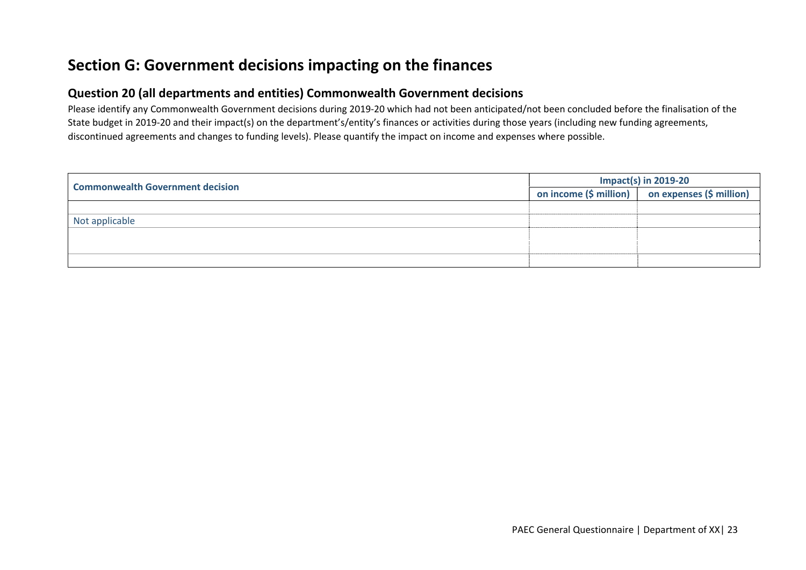## **Section G: Government decisions impacting on the finances**

### **Question 20 (all departments and entities) Commonwealth Government decisions**

Please identify any Commonwealth Government decisions during 2019‐20 which had not been anticipated/not been concluded before the finalisation of the State budget in 2019-20 and their impact(s) on the department's/entity's finances or activities during those years (including new funding agreements, discontinued agreements and changes to funding levels). Please quantify the impact on income and expenses where possible.

| <b>Commonwealth Government decision</b> | <b>Impact(s) in 2019-20</b> |                                                                                     |  |  |
|-----------------------------------------|-----------------------------|-------------------------------------------------------------------------------------|--|--|
|                                         |                             | on income $(\frac{1}{2})$ million $\frac{1}{2}$ on expenses $(\frac{1}{2})$ million |  |  |
|                                         |                             |                                                                                     |  |  |
| Not applicable                          |                             |                                                                                     |  |  |
|                                         |                             |                                                                                     |  |  |
|                                         |                             |                                                                                     |  |  |
|                                         |                             |                                                                                     |  |  |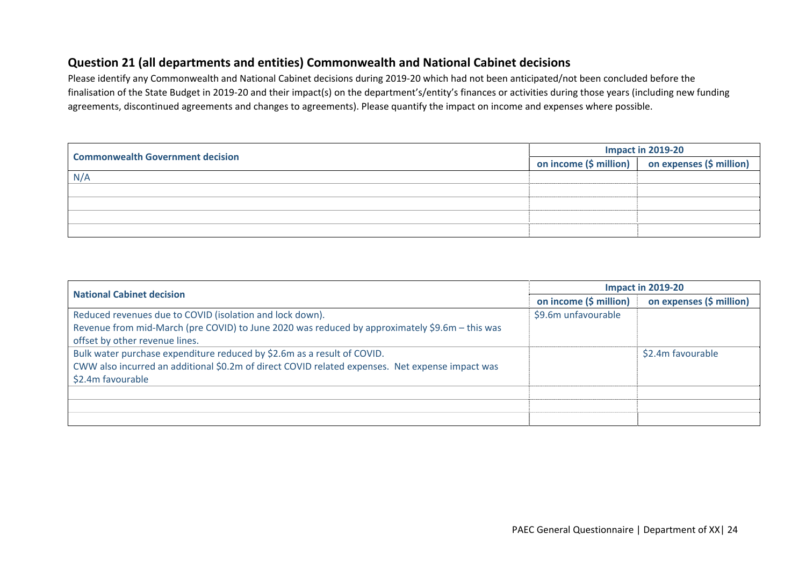## **Question 21 (all departments and entities) Commonwealth and National Cabinet decisions**

Please identify any Commonwealth and National Cabinet decisions during 2019‐20 which had not been anticipated/not been concluded before the finalisation of the State Budget in 2019‐20 and their impact(s) on the department's/entity's finances or activities during those years (including new funding agreements, discontinued agreements and changes to agreements). Please quantify the impact on income and expenses where possible.

| <b>Commonwealth Government decision</b> | Impact in 2019-20 |                                                                                     |  |
|-----------------------------------------|-------------------|-------------------------------------------------------------------------------------|--|
|                                         |                   | on income $(\frac{1}{2})$ million $\frac{1}{2}$ on expenses $(\frac{1}{2})$ million |  |
| N/A                                     |                   |                                                                                     |  |
|                                         |                   |                                                                                     |  |
|                                         |                   |                                                                                     |  |
|                                         |                   |                                                                                     |  |
|                                         |                   |                                                                                     |  |

| <b>National Cabinet decision</b>                                                                | Impact in 2019-20      |                          |  |  |
|-------------------------------------------------------------------------------------------------|------------------------|--------------------------|--|--|
|                                                                                                 | on income (\$ million) | on expenses (\$ million) |  |  |
| Reduced revenues due to COVID (isolation and lock down).                                        | \$9.6m unfavourable    |                          |  |  |
| Revenue from mid-March (pre COVID) to June 2020 was reduced by approximately \$9.6m - this was  |                        |                          |  |  |
| offset by other revenue lines.                                                                  |                        |                          |  |  |
| Bulk water purchase expenditure reduced by \$2.6m as a result of COVID.                         |                        | \$2.4m favourable        |  |  |
| CWW also incurred an additional \$0.2m of direct COVID related expenses. Net expense impact was |                        |                          |  |  |
| \$2.4m favourable                                                                               |                        |                          |  |  |
|                                                                                                 |                        |                          |  |  |
|                                                                                                 |                        |                          |  |  |
|                                                                                                 |                        |                          |  |  |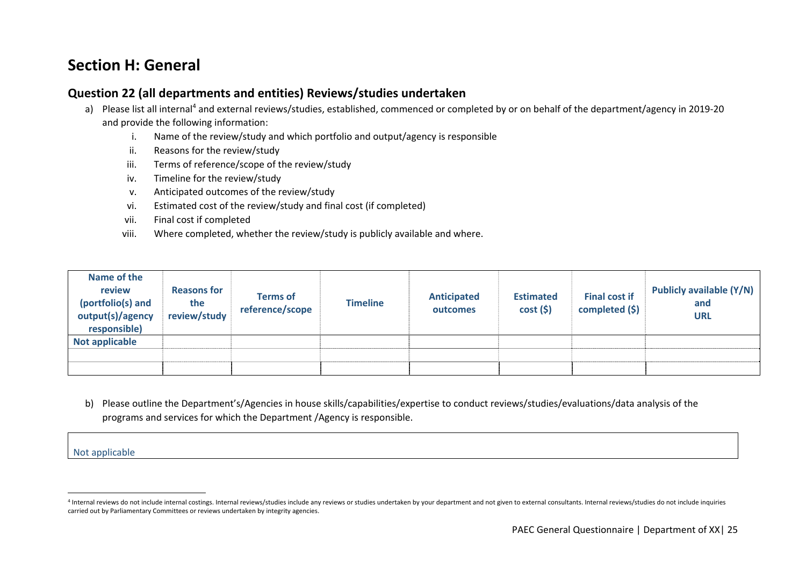## **Section H: General**

### **Question 22 (all departments and entities) Reviews/studies undertaken**

- a) Please list all internal<sup>4</sup> and external reviews/studies, established, commenced or completed by or on behalf of the department/agency in 2019-20 and provide the following information:
	- i.Name of the review/study and which portfolio and output/agency is responsible
	- ii.Reasons for the review/study
	- iii.Terms of reference/scope of the review/study
	- iv.Timeline for the review/study
	- v.Anticipated outcomes of the review/study
	- vi.Estimated cost of the review/study and final cost (if completed)
	- vii.Final cost if completed
	- viii.Where completed, whether the review/study is publicly available and where.

| Name of the<br>review<br>(portfolio(s) and<br>output(s)/agency<br>responsible) | <b>Reasons for</b><br>the<br>review/study | <b>Terms of</b><br>reference/scope | <b>Timeline</b> | Anticipated<br>outcomes | <b>Estimated</b><br>cost(5) | <b>Final cost if</b><br>completed $(\xi)$ | Publicly available (Y/N)<br>and<br><b>URL</b> |
|--------------------------------------------------------------------------------|-------------------------------------------|------------------------------------|-----------------|-------------------------|-----------------------------|-------------------------------------------|-----------------------------------------------|
| <b>Not applicable</b>                                                          |                                           |                                    |                 |                         |                             |                                           |                                               |
|                                                                                |                                           |                                    |                 |                         |                             |                                           |                                               |
|                                                                                |                                           |                                    |                 |                         |                             |                                           |                                               |

b) Please outline the Department's/Agencies in house skills/capabilities/expertise to conduct reviews/studies/evaluations/data analysis of the programs and services for which the Department /Agency is responsible.

<sup>4</sup> Internal reviews do not include internal costings. Internal reviews/studies include any reviews or studies undertaken by your department and not given to external consultants. Internal reviews/studies do not include inqu carried out by Parliamentary Committees or reviews undertaken by integrity agencies.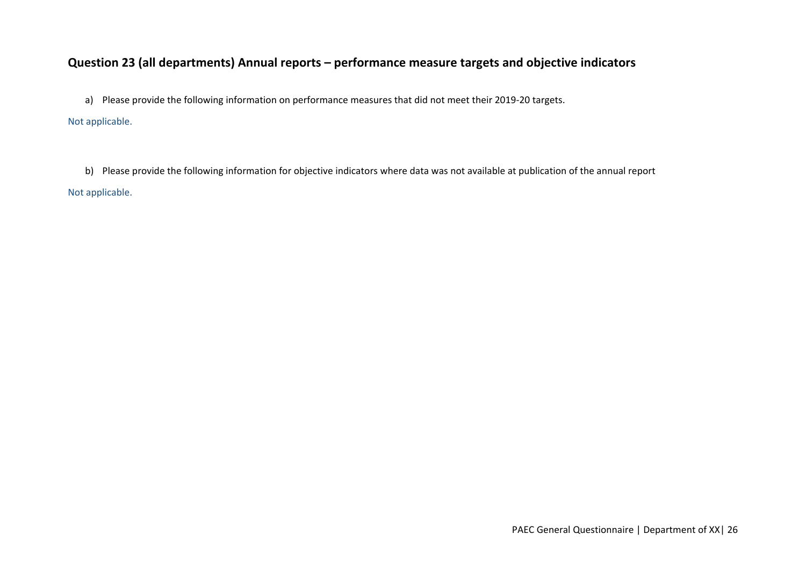## **Question 23 (all departments) Annual reports – performance measure targets and objective indicators**

a) Please provide the following information on performance measures that did not meet their 2019‐20 targets.

#### Not applicable.

b) Please provide the following information for objective indicators where data was not available at publication of the annual report Not applicable.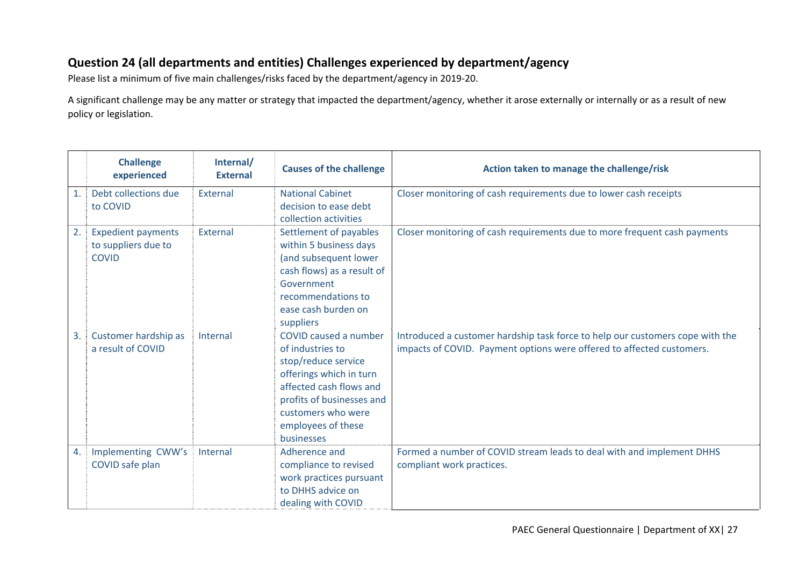## **Question 24 (all departments and entities) Challenges experienced by department/agency**

Please list a minimum of five main challenges/risks faced by the department/agency in 2019‐20.

A significant challenge may be any matter or strategy that impacted the department/agency, whether it arose externally or internally or as a result of new policy or legislation.

|    | <b>Challenge</b><br>experienced | Internal/<br><b>External</b> | <b>Causes of the challenge</b> | Action taken to manage the challenge/risk                                     |
|----|---------------------------------|------------------------------|--------------------------------|-------------------------------------------------------------------------------|
| 1. | Debt collections due            | External                     | <b>National Cabinet</b>        | Closer monitoring of cash requirements due to lower cash receipts             |
|    | to COVID                        |                              | decision to ease debt          |                                                                               |
|    |                                 |                              | collection activities          |                                                                               |
| 2. | <b>Expedient payments</b>       | External                     | Settlement of payables         | Closer monitoring of cash requirements due to more frequent cash payments     |
|    | to suppliers due to             |                              | within 5 business days         |                                                                               |
|    | <b>COVID</b>                    |                              | (and subsequent lower          |                                                                               |
|    |                                 |                              | cash flows) as a result of     |                                                                               |
|    |                                 |                              | Government                     |                                                                               |
|    |                                 |                              | recommendations to             |                                                                               |
|    |                                 |                              | ease cash burden on            |                                                                               |
|    |                                 |                              | suppliers                      |                                                                               |
| 3. | Customer hardship as            | Internal                     | COVID caused a number          | Introduced a customer hardship task force to help our customers cope with the |
|    | a result of COVID               |                              | of industries to               | impacts of COVID. Payment options were offered to affected customers.         |
|    |                                 |                              | stop/reduce service            |                                                                               |
|    |                                 |                              | offerings which in turn        |                                                                               |
|    |                                 |                              | affected cash flows and        |                                                                               |
|    |                                 |                              | profits of businesses and      |                                                                               |
|    |                                 |                              | customers who were             |                                                                               |
|    |                                 |                              | employees of these             |                                                                               |
|    |                                 |                              | businesses                     |                                                                               |
| 4. | Implementing CWW's              | Internal                     | Adherence and                  | Formed a number of COVID stream leads to deal with and implement DHHS         |
|    | COVID safe plan                 |                              | compliance to revised          | compliant work practices.                                                     |
|    |                                 |                              | work practices pursuant        |                                                                               |
|    |                                 |                              | to DHHS advice on              |                                                                               |
|    |                                 |                              | dealing with COVID             |                                                                               |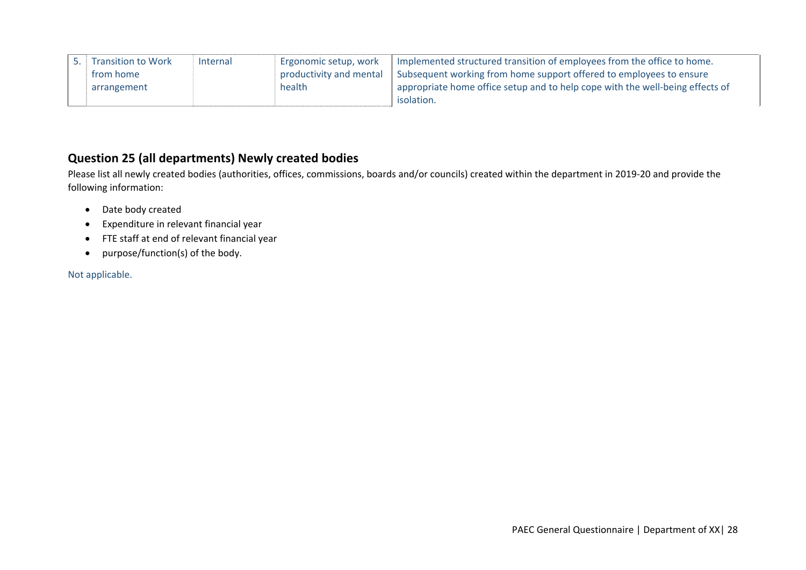| <sup>t</sup> Transition to Work | Internal | Ergonomic setup, work   | Implemented structured transition of employees from the office to home.       |
|---------------------------------|----------|-------------------------|-------------------------------------------------------------------------------|
| from home                       |          | productivity and mental | Subsequent working from home support offered to employees to ensure           |
| arrangement                     |          | health                  | appropriate home office setup and to help cope with the well-being effects of |
|                                 |          |                         | isolation.                                                                    |

## **Question 25 (all departments) Newly created bodies**

Please list all newly created bodies (authorities, offices, commissions, boards and/or councils) created within the department in 2019‐20 and provide the following information:

- Date body created
- Expenditure in relevant financial year
- FTE staff at end of relevant financial year
- purpose/function(s) of the body.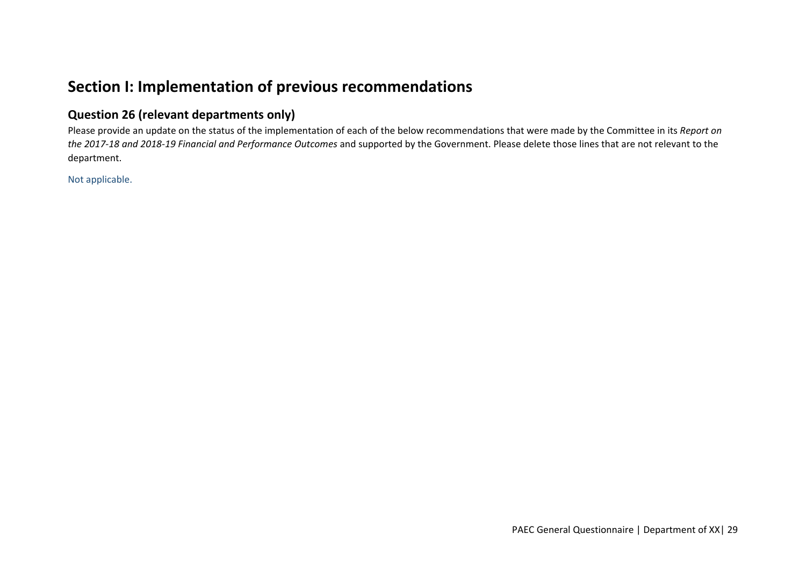# **Section I: Implementation of previous recommendations**

## **Question 26 (relevant departments only)**

Please provide an update on the status of the implementation of each of the below recommendations that were made by the Committee in its *Report on the 2017‐18 and 2018‐19 Financial and Performance Outcomes* and supported by the Government. Please delete those lines that are not relevant to the department.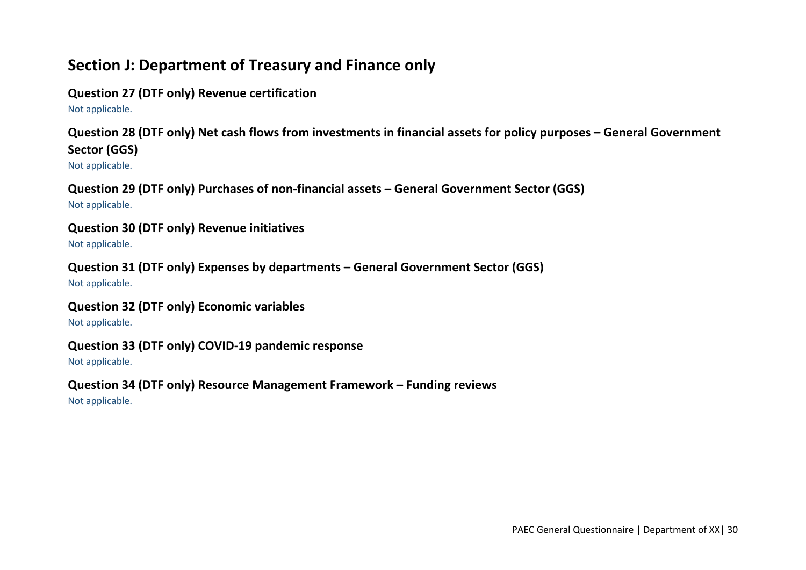# **Section J: Department of Treasury and Finance only**

## **Question 27 (DTF only) Revenue certification**

Not applicable.

**Question 28 (DTF only) Net cash flows from investments in financial assets for policy purposes – General Government Sector (GGS)** 

Not applicable.

**Question 29 (DTF only) Purchases of non‐financial assets – General Government Sector (GGS)**  Not applicable.

## **Question 30 (DTF only) Revenue initiatives**

Not applicable.

**Question 31 (DTF only) Expenses by departments – General Government Sector (GGS)**  Not applicable.

## **Question 32 (DTF only) Economic variables**

Not applicable.

## **Question 33 (DTF only) COVID‐19 pandemic response**

Not applicable.

## **Question 34 (DTF only) Resource Management Framework – Funding reviews**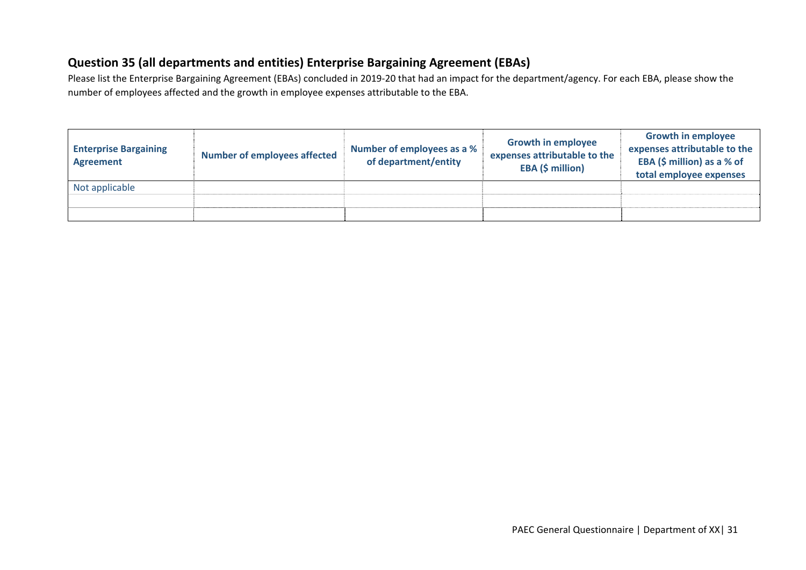## **Question 35 (all departments and entities) Enterprise Bargaining Agreement (EBAs)**

Please list the Enterprise Bargaining Agreement (EBAs) concluded in 2019‐20 that had an impact for the department/agency. For each EBA, please show the number of employees affected and the growth in employee expenses attributable to the EBA.

| <b>Enterprise Bargaining</b><br><b>Agreement</b> | <b>Number of employees affected</b> | Number of employees as a %<br>of department/entity | <b>Growth in employee</b><br>expenses attributable to the<br>EBA (\$ million) | <b>Growth in employee</b><br>expenses attributable to the<br>EBA (\$ million) as a % of<br>total employee expenses |
|--------------------------------------------------|-------------------------------------|----------------------------------------------------|-------------------------------------------------------------------------------|--------------------------------------------------------------------------------------------------------------------|
| Not applicable                                   |                                     |                                                    |                                                                               |                                                                                                                    |
|                                                  |                                     |                                                    |                                                                               |                                                                                                                    |
|                                                  |                                     |                                                    |                                                                               |                                                                                                                    |